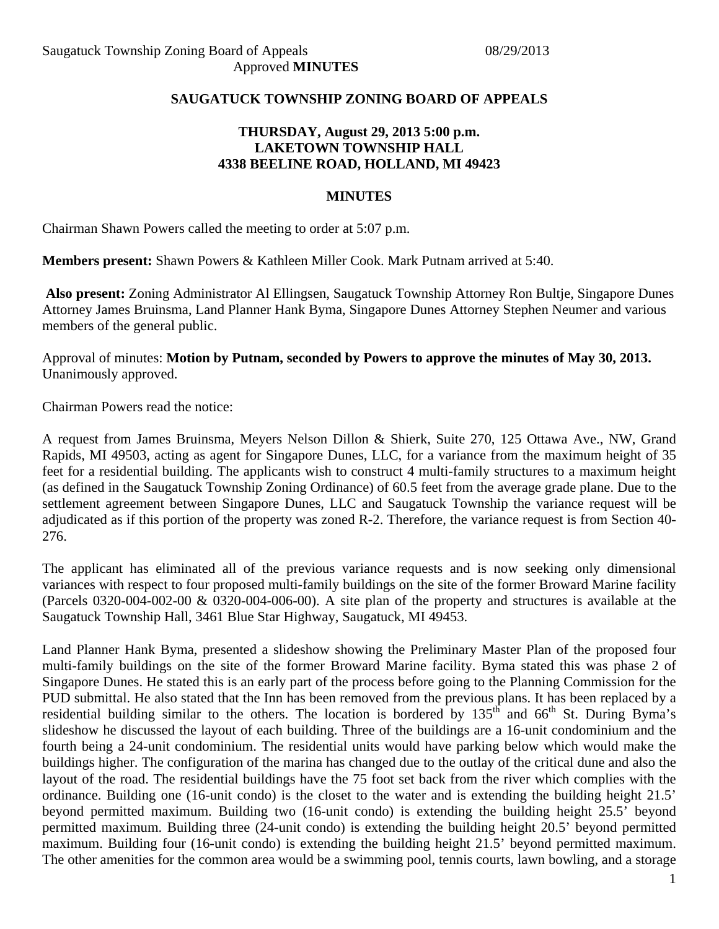#### **SAUGATUCK TOWNSHIP ZONING BOARD OF APPEALS**

## **THURSDAY, August 29, 2013 5:00 p.m. LAKETOWN TOWNSHIP HALL 4338 BEELINE ROAD, HOLLAND, MI 49423**

#### **MINUTES**

Chairman Shawn Powers called the meeting to order at 5:07 p.m.

**Members present:** Shawn Powers & Kathleen Miller Cook. Mark Putnam arrived at 5:40.

**Also present:** Zoning Administrator Al Ellingsen, Saugatuck Township Attorney Ron Bultje, Singapore Dunes Attorney James Bruinsma, Land Planner Hank Byma, Singapore Dunes Attorney Stephen Neumer and various members of the general public.

Approval of minutes: **Motion by Putnam, seconded by Powers to approve the minutes of May 30, 2013.**  Unanimously approved.

Chairman Powers read the notice:

A request from James Bruinsma, Meyers Nelson Dillon & Shierk, Suite 270, 125 Ottawa Ave., NW, Grand Rapids, MI 49503, acting as agent for Singapore Dunes, LLC, for a variance from the maximum height of 35 feet for a residential building. The applicants wish to construct 4 multi-family structures to a maximum height (as defined in the Saugatuck Township Zoning Ordinance) of 60.5 feet from the average grade plane. Due to the settlement agreement between Singapore Dunes, LLC and Saugatuck Township the variance request will be adjudicated as if this portion of the property was zoned R-2. Therefore, the variance request is from Section 40- 276.

The applicant has eliminated all of the previous variance requests and is now seeking only dimensional variances with respect to four proposed multi-family buildings on the site of the former Broward Marine facility (Parcels 0320-004-002-00 & 0320-004-006-00). A site plan of the property and structures is available at the Saugatuck Township Hall, 3461 Blue Star Highway, Saugatuck, MI 49453.

Land Planner Hank Byma, presented a slideshow showing the Preliminary Master Plan of the proposed four multi-family buildings on the site of the former Broward Marine facility. Byma stated this was phase 2 of Singapore Dunes. He stated this is an early part of the process before going to the Planning Commission for the PUD submittal. He also stated that the Inn has been removed from the previous plans. It has been replaced by a residential building similar to the others. The location is bordered by  $135<sup>th</sup>$  and  $66<sup>th</sup>$  St. During Byma's slideshow he discussed the layout of each building. Three of the buildings are a 16-unit condominium and the fourth being a 24-unit condominium. The residential units would have parking below which would make the buildings higher. The configuration of the marina has changed due to the outlay of the critical dune and also the layout of the road. The residential buildings have the 75 foot set back from the river which complies with the ordinance. Building one (16-unit condo) is the closet to the water and is extending the building height 21.5' beyond permitted maximum. Building two (16-unit condo) is extending the building height 25.5' beyond permitted maximum. Building three (24-unit condo) is extending the building height 20.5' beyond permitted maximum. Building four (16-unit condo) is extending the building height 21.5' beyond permitted maximum. The other amenities for the common area would be a swimming pool, tennis courts, lawn bowling, and a storage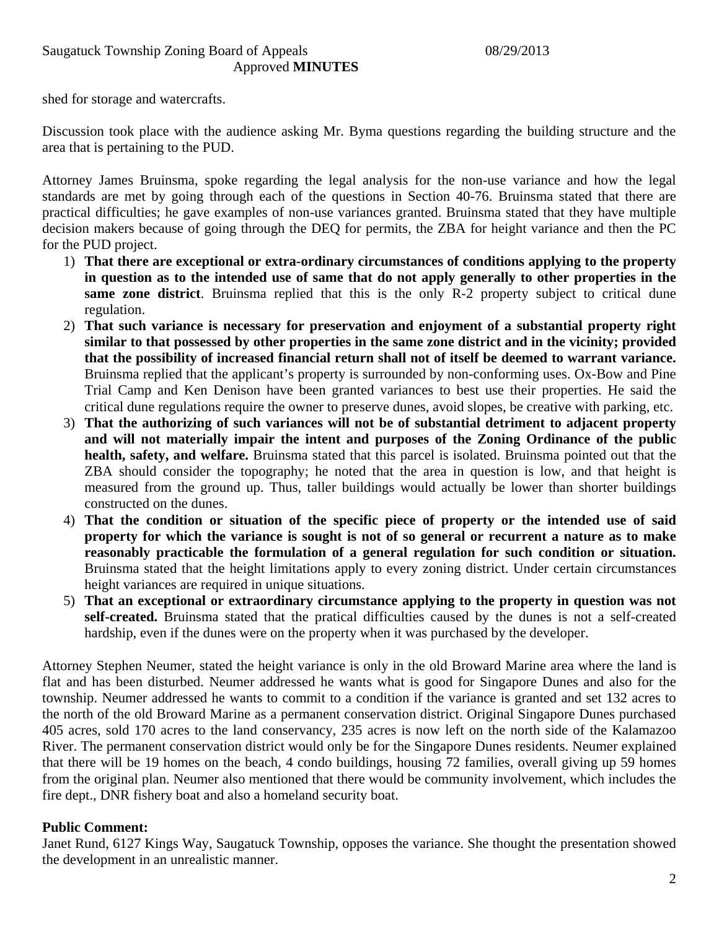shed for storage and watercrafts.

Discussion took place with the audience asking Mr. Byma questions regarding the building structure and the area that is pertaining to the PUD.

Attorney James Bruinsma, spoke regarding the legal analysis for the non-use variance and how the legal standards are met by going through each of the questions in Section 40-76. Bruinsma stated that there are practical difficulties; he gave examples of non-use variances granted. Bruinsma stated that they have multiple decision makers because of going through the DEQ for permits, the ZBA for height variance and then the PC for the PUD project.

- 1) **That there are exceptional or extra-ordinary circumstances of conditions applying to the property in question as to the intended use of same that do not apply generally to other properties in the same zone district**. Bruinsma replied that this is the only R-2 property subject to critical dune regulation.
- 2) **That such variance is necessary for preservation and enjoyment of a substantial property right similar to that possessed by other properties in the same zone district and in the vicinity; provided that the possibility of increased financial return shall not of itself be deemed to warrant variance.** Bruinsma replied that the applicant's property is surrounded by non-conforming uses. Ox-Bow and Pine Trial Camp and Ken Denison have been granted variances to best use their properties. He said the critical dune regulations require the owner to preserve dunes, avoid slopes, be creative with parking, etc.
- 3) **That the authorizing of such variances will not be of substantial detriment to adjacent property and will not materially impair the intent and purposes of the Zoning Ordinance of the public health, safety, and welfare.** Bruinsma stated that this parcel is isolated. Bruinsma pointed out that the ZBA should consider the topography; he noted that the area in question is low, and that height is measured from the ground up. Thus, taller buildings would actually be lower than shorter buildings constructed on the dunes.
- 4) **That the condition or situation of the specific piece of property or the intended use of said property for which the variance is sought is not of so general or recurrent a nature as to make reasonably practicable the formulation of a general regulation for such condition or situation.** Bruinsma stated that the height limitations apply to every zoning district. Under certain circumstances height variances are required in unique situations.
- 5) **That an exceptional or extraordinary circumstance applying to the property in question was not self-created.** Bruinsma stated that the pratical difficulties caused by the dunes is not a self-created hardship, even if the dunes were on the property when it was purchased by the developer.

Attorney Stephen Neumer, stated the height variance is only in the old Broward Marine area where the land is flat and has been disturbed. Neumer addressed he wants what is good for Singapore Dunes and also for the township. Neumer addressed he wants to commit to a condition if the variance is granted and set 132 acres to the north of the old Broward Marine as a permanent conservation district. Original Singapore Dunes purchased 405 acres, sold 170 acres to the land conservancy, 235 acres is now left on the north side of the Kalamazoo River. The permanent conservation district would only be for the Singapore Dunes residents. Neumer explained that there will be 19 homes on the beach, 4 condo buildings, housing 72 families, overall giving up 59 homes from the original plan. Neumer also mentioned that there would be community involvement, which includes the fire dept., DNR fishery boat and also a homeland security boat.

# **Public Comment:**

Janet Rund, 6127 Kings Way, Saugatuck Township, opposes the variance. She thought the presentation showed the development in an unrealistic manner.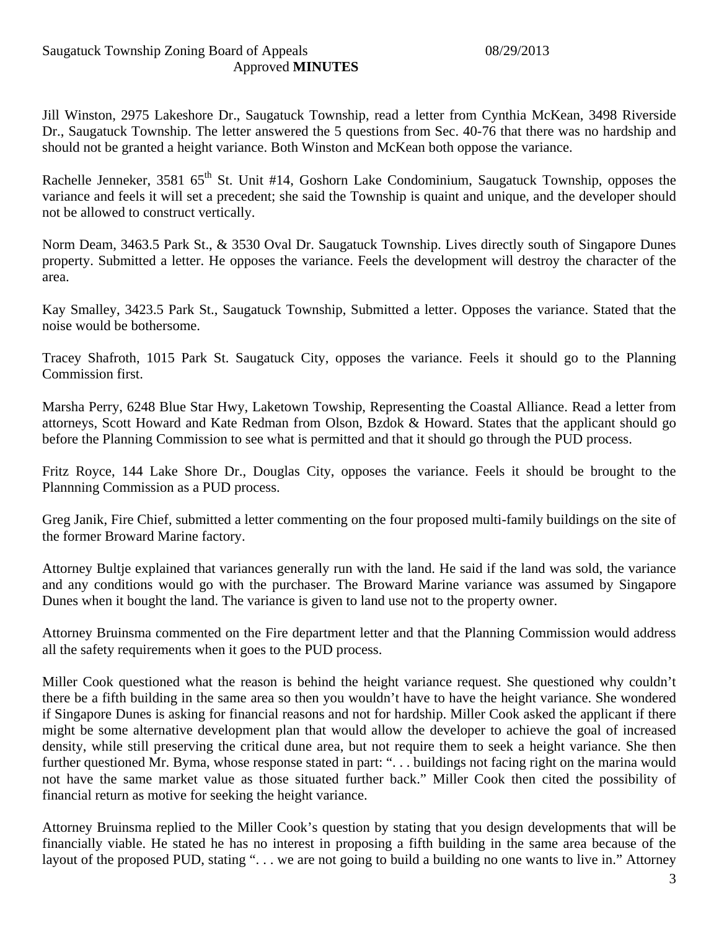Jill Winston, 2975 Lakeshore Dr., Saugatuck Township, read a letter from Cynthia McKean, 3498 Riverside Dr., Saugatuck Township. The letter answered the 5 questions from Sec. 40-76 that there was no hardship and should not be granted a height variance. Both Winston and McKean both oppose the variance.

Rachelle Jenneker, 3581  $65<sup>th</sup>$  St. Unit #14, Goshorn Lake Condominium, Saugatuck Township, opposes the variance and feels it will set a precedent; she said the Township is quaint and unique, and the developer should not be allowed to construct vertically.

Norm Deam, 3463.5 Park St., & 3530 Oval Dr. Saugatuck Township. Lives directly south of Singapore Dunes property. Submitted a letter. He opposes the variance. Feels the development will destroy the character of the area.

Kay Smalley, 3423.5 Park St., Saugatuck Township, Submitted a letter. Opposes the variance. Stated that the noise would be bothersome.

Tracey Shafroth, 1015 Park St. Saugatuck City, opposes the variance. Feels it should go to the Planning Commission first.

Marsha Perry, 6248 Blue Star Hwy, Laketown Towship, Representing the Coastal Alliance. Read a letter from attorneys, Scott Howard and Kate Redman from Olson, Bzdok & Howard. States that the applicant should go before the Planning Commission to see what is permitted and that it should go through the PUD process.

Fritz Royce, 144 Lake Shore Dr., Douglas City, opposes the variance. Feels it should be brought to the Plannning Commission as a PUD process.

Greg Janik, Fire Chief, submitted a letter commenting on the four proposed multi-family buildings on the site of the former Broward Marine factory.

Attorney Bultje explained that variances generally run with the land. He said if the land was sold, the variance and any conditions would go with the purchaser. The Broward Marine variance was assumed by Singapore Dunes when it bought the land. The variance is given to land use not to the property owner.

Attorney Bruinsma commented on the Fire department letter and that the Planning Commission would address all the safety requirements when it goes to the PUD process.

Miller Cook questioned what the reason is behind the height variance request. She questioned why couldn't there be a fifth building in the same area so then you wouldn't have to have the height variance. She wondered if Singapore Dunes is asking for financial reasons and not for hardship. Miller Cook asked the applicant if there might be some alternative development plan that would allow the developer to achieve the goal of increased density, while still preserving the critical dune area, but not require them to seek a height variance. She then further questioned Mr. Byma, whose response stated in part: "... buildings not facing right on the marina would not have the same market value as those situated further back." Miller Cook then cited the possibility of financial return as motive for seeking the height variance.

Attorney Bruinsma replied to the Miller Cook's question by stating that you design developments that will be financially viable. He stated he has no interest in proposing a fifth building in the same area because of the layout of the proposed PUD, stating "... we are not going to build a building no one wants to live in." Attorney